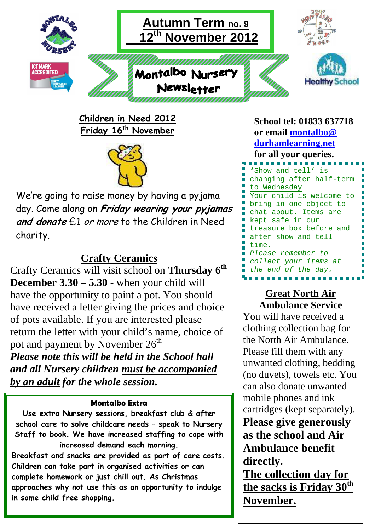

**Children in Need 2012 Friday 16th November** 



We're going to raise money by having a pyjama day. Come along on **Friday wearing your pyjamas and donate** £1 or more to the Children in Need charity.

## **Crafty Ceramics**

Crafty Ceramics will visit school on **Thursday 6th December 3.30 – 5.30** - when your child will have the opportunity to paint a pot. You should have received a letter giving the prices and choice of pots available. If you are interested please return the letter with your child's name, choice of pot and payment by November  $26<sup>th</sup>$ *Please note this will be held in the School hall and all Nursery children must be accompanied by an adult for the whole session.* 

#### **Montalbo Extra**

**Use extra Nursery sessions, breakfast club & after school care to solve childcare needs – speak to Nursery Staff to book. We have increased staffing to cope with increased demand each morning.** 

**Breakfast and snacks are provided as part of care costs. Children can take part in organised activities or can complete homework or just chill out. As Christmas approaches why not use this as an opportunity to indulge in some child free shopping.**

**School tel: 01833 637718 or email montalbo@ durhamlearning.net for all your queries. '**Show and tell' is changing after half-term to Wednesday Your child is welcome to bring in one object to chat about. Items are kept safe in our treasure box before and after show and tell time. Please remember to collect your items at the end of the day.

## **Great North Air Ambulance Service**

You will have received a clothing collection bag for the North Air Ambulance. Please fill them with any unwanted clothing, bedding (no duvets), towels etc. You can also donate unwanted mobile phones and ink cartridges (kept separately). **Please give generously as the school and Air Ambulance benefit directly.** 

**The collection day for the sacks is Friday 30th November.**